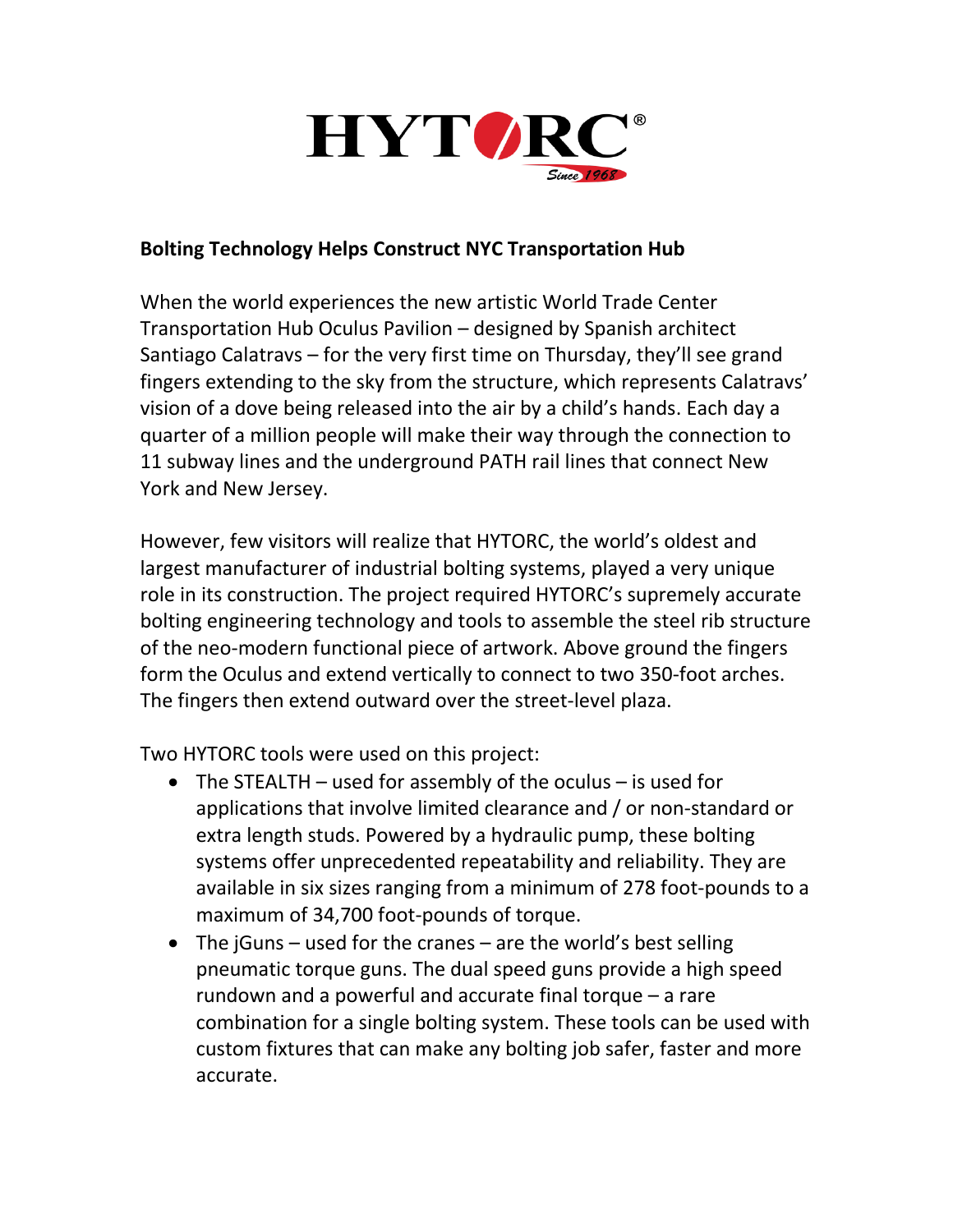

## **Bolting Technology Helps Construct NYC Transportation Hub**

When the world experiences the new artistic World Trade Center Transportation Hub Oculus Pavilion – designed by Spanish architect Santiago Calatravs – for the very first time on Thursday, they'll see grand fingers extending to the sky from the structure, which represents Calatravs' vision of a dove being released into the air by a child's hands. Each day a quarter of a million people will make their way through the connection to 11 subway lines and the underground PATH rail lines that connect New York and New Jersey.

However, few visitors will realize that HYTORC, the world's oldest and largest manufacturer of industrial bolting systems, played a very unique role in its construction. The project required HYTORC's supremely accurate bolting engineering technology and tools to assemble the steel rib structure of the neo-modern functional piece of artwork. Above ground the fingers form the Oculus and extend vertically to connect to two 350-foot arches. The fingers then extend outward over the street-level plaza.

Two HYTORC tools were used on this project:

- The STEALTH used for assembly of the oculus is used for applications that involve limited clearance and / or non-standard or extra length studs. Powered by a hydraulic pump, these bolting systems offer unprecedented repeatability and reliability. They are available in six sizes ranging from a minimum of 278 foot-pounds to a maximum of 34,700 foot-pounds of torque.
- The jGuns used for the cranes are the world's best selling pneumatic torque guns. The dual speed guns provide a high speed rundown and a powerful and accurate final torque – a rare combination for a single bolting system. These tools can be used with custom fixtures that can make any bolting job safer, faster and more accurate.